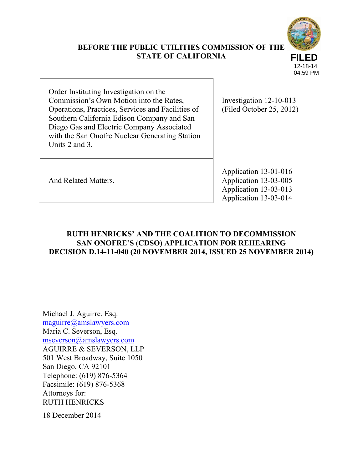

## **BEFORE THE PUBLIC UTILITIES COMMISSION OF THE STATE OF CALIFORNIA**

12-18-14 04:59 PM

Order Instituting Investigation on the Commission's Own Motion into the Rates, Operations, Practices, Services and Facilities of Southern California Edison Company and San Diego Gas and Electric Company Associated with the San Onofre Nuclear Generating Station Units 2 and 3.

Investigation 12-10-013 (Filed October 25, 2012)

And Related Matters.

Application 13-01-016 Application 13-03-005 Application 13-03-013 Application 13-03-014

# **RUTH HENRICKS' AND THE COALITION TO DECOMMISSION SAN ONOFRE'S (CDSO) APPLICATION FOR REHEARING DECISION D.14-11-040 (20 NOVEMBER 2014, ISSUED 25 NOVEMBER 2014)**

Michael J. Aguirre, Esq. [maguirre@amslawyers.com](mailto:maguirre@amslawyers.com) Maria C. Severson, Esq. [mseverson@amslawyers.com](mailto:mseverson@amslawyers.com) AGUIRRE & SEVERSON, LLP 501 West Broadway, Suite 1050 San Diego, CA 92101 Telephone: (619) 876-5364 Facsimile: (619) 876-5368 Attorneys for: RUTH HENRICKS

18 December 2014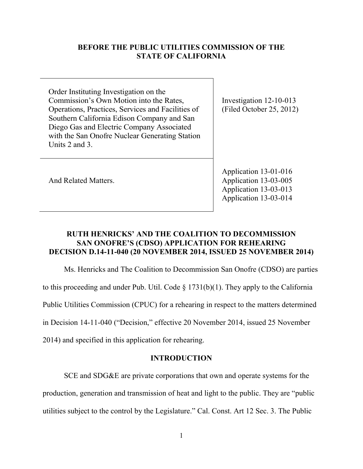### **BEFORE THE PUBLIC UTILITIES COMMISSION OF THE STATE OF CALIFORNIA**

Order Instituting Investigation on the Commission's Own Motion into the Rates, Operations, Practices, Services and Facilities of Southern California Edison Company and San Diego Gas and Electric Company Associated with the San Onofre Nuclear Generating Station Units 2 and 3.

Investigation 12-10-013 (Filed October 25, 2012)

And Related Matters.

Application 13-01-016 Application 13-03-005 Application 13-03-013 Application 13-03-014

## **RUTH HENRICKS' AND THE COALITION TO DECOMMISSION SAN ONOFRE'S (CDSO) APPLICATION FOR REHEARING DECISION D.14-11-040 (20 NOVEMBER 2014, ISSUED 25 NOVEMBER 2014)**

Ms. Henricks and The Coalition to Decommission San Onofre (CDSO) are parties to this proceeding and under Pub. Util. Code  $\S$  1731(b)(1). They apply to the California Public Utilities Commission (CPUC) for a rehearing in respect to the matters determined in Decision 14-11-040 ("Decision," effective 20 November 2014, issued 25 November

2014) and specified in this application for rehearing.

## **INTRODUCTION**

SCE and SDG&E are private corporations that own and operate systems for the production, generation and transmission of heat and light to the public. They are "public utilities subject to the control by the Legislature." Cal. Const. Art 12 Sec. 3. The Public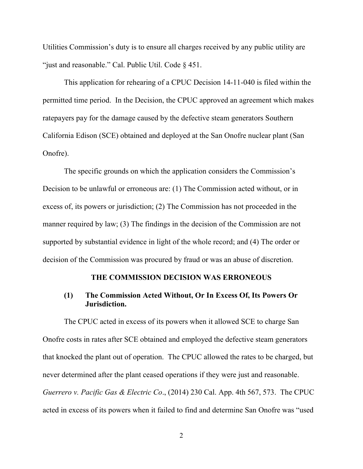Utilities Commission's duty is to ensure all charges received by any public utility are "just and reasonable." Cal. Public Util. Code § 451.

This application for rehearing of a CPUC Decision 14-11-040 is filed within the permitted time period. In the Decision, the CPUC approved an agreement which makes ratepayers pay for the damage caused by the defective steam generators Southern California Edison (SCE) obtained and deployed at the San Onofre nuclear plant (San Onofre).

The specific grounds on which the application considers the Commission's Decision to be unlawful or erroneous are: (1) The Commission acted without, or in excess of, its powers or jurisdiction; (2) The Commission has not proceeded in the manner required by law; (3) The findings in the decision of the Commission are not supported by substantial evidence in light of the whole record; and (4) The order or decision of the Commission was procured by fraud or was an abuse of discretion.

#### **THE COMMISSION DECISION WAS ERRONEOUS**

### **(1) The Commission Acted Without, Or In Excess Of, Its Powers Or Jurisdiction.**

The CPUC acted in excess of its powers when it allowed SCE to charge San Onofre costs in rates after SCE obtained and employed the defective steam generators that knocked the plant out of operation. The CPUC allowed the rates to be charged, but never determined after the plant ceased operations if they were just and reasonable. *Guerrero v. Pacific Gas & Electric Co*., (2014) 230 Cal. App. 4th 567, 573. The CPUC acted in excess of its powers when it failed to find and determine San Onofre was "used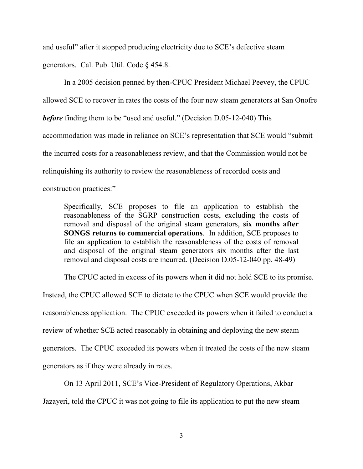and useful" after it stopped producing electricity due to SCE's defective steam generators. Cal. Pub. Util. Code § 454.8.

In a 2005 decision penned by then-CPUC President Michael Peevey, the CPUC allowed SCE to recover in rates the costs of the four new steam generators at San Onofre *before* finding them to be "used and useful." (Decision D.05-12-040) This accommodation was made in reliance on SCE's representation that SCE would "submit the incurred costs for a reasonableness review, and that the Commission would not be relinquishing its authority to review the reasonableness of recorded costs and construction practices:"

Specifically, SCE proposes to file an application to establish the reasonableness of the SGRP construction costs, excluding the costs of removal and disposal of the original steam generators, **six months after SONGS returns to commercial operations**. In addition, SCE proposes to file an application to establish the reasonableness of the costs of removal and disposal of the original steam generators six months after the last removal and disposal costs are incurred. (Decision D.05-12-040 pp. 48-49)

The CPUC acted in excess of its powers when it did not hold SCE to its promise. Instead, the CPUC allowed SCE to dictate to the CPUC when SCE would provide the reasonableness application. The CPUC exceeded its powers when it failed to conduct a review of whether SCE acted reasonably in obtaining and deploying the new steam generators. The CPUC exceeded its powers when it treated the costs of the new steam generators as if they were already in rates.

On 13 April 2011, SCE's Vice-President of Regulatory Operations, Akbar Jazayeri, told the CPUC it was not going to file its application to put the new steam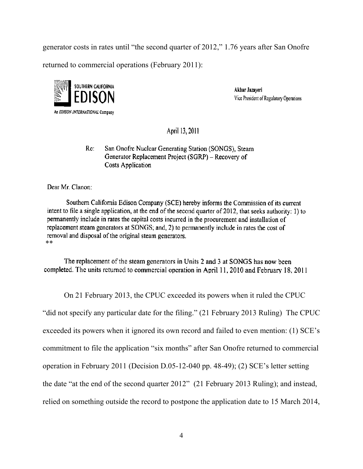generator costs in rates until "the second quarter of 2012," 1.76 years after San Onofre

returned to commercial operations (February 2011):



Akbar Jazaveri Vice President of Regulatory Operations

April 13, 2011

San Onofre Nuclear Generating Station (SONGS), Steam  $Re.$ Generator Replacement Project (SGRP) - Recovery of **Costs Application** 

Dear Mr. Clanon:

Southern California Edison Company (SCE) hereby informs the Commission of its current intent to file a single application, at the end of the second quarter of 2012, that seeks authority: 1) to permanently include in rates the capital costs incurred in the procurement and installation of replacement steam generators at SONGS; and, 2) to permanently include in rates the cost of removal and disposal of the original steam generators. \*\*

The replacement of the steam generators in Units 2 and 3 at SONGS has now been completed. The units returned to commercial operation in April 11, 2010 and February 18, 2011

On 21 February 2013, the CPUC exceeded its powers when it ruled the CPUC

"did not specify any particular date for the filing." (21 February 2013 Ruling) The CPUC exceeded its powers when it ignored its own record and failed to even mention: (1) SCE's commitment to file the application "six months" after San Onofre returned to commercial operation in February 2011 (Decision D.05-12-040 pp. 48-49); (2) SCE's letter setting the date "at the end of the second quarter 2012" (21 February 2013 Ruling); and instead, relied on something outside the record to postpone the application date to 15 March 2014,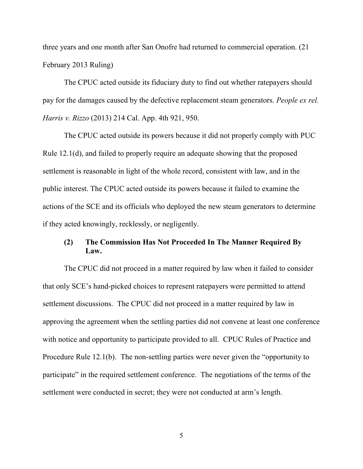three years and one month after San Onofre had returned to commercial operation. (21 February 2013 Ruling)

The CPUC acted outside its fiduciary duty to find out whether ratepayers should pay for the damages caused by the defective replacement steam generators. *People ex rel. Harris v. Rizzo* (2013) 214 Cal. App. 4th 921, 950.

The CPUC acted outside its powers because it did not properly comply with PUC Rule 12.1(d), and failed to properly require an adequate showing that the proposed settlement is reasonable in light of the whole record, consistent with law, and in the public interest. The CPUC acted outside its powers because it failed to examine the actions of the SCE and its officials who deployed the new steam generators to determine if they acted knowingly, recklessly, or negligently.

### **(2) The Commission Has Not Proceeded In The Manner Required By Law.**

The CPUC did not proceed in a matter required by law when it failed to consider that only SCE's hand-picked choices to represent ratepayers were permitted to attend settlement discussions. The CPUC did not proceed in a matter required by law in approving the agreement when the settling parties did not convene at least one conference with notice and opportunity to participate provided to all. CPUC Rules of Practice and Procedure Rule 12.1(b). The non-settling parties were never given the "opportunity to participate" in the required settlement conference. The negotiations of the terms of the settlement were conducted in secret; they were not conducted at arm's length.

5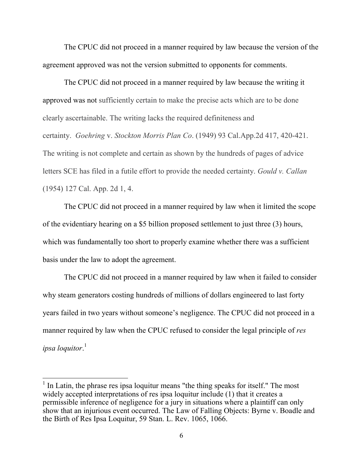The CPUC did not proceed in a manner required by law because the version of the agreement approved was not the version submitted to opponents for comments.

The CPUC did not proceed in a manner required by law because the writing it approved was not sufficiently certain to make the precise acts which are to be done clearly ascertainable. The writing lacks the required definiteness and certainty. *Goehring* v. *Stockton Morris Plan Co*. (1949) 93 Cal.App.2d 417, 420-421. The writing is not complete and certain as shown by the hundreds of pages of advice letters SCE has filed in a futile effort to provide the needed certainty. *Gould v. Callan* (1954) 127 Cal. App. 2d 1, 4.

The CPUC did not proceed in a manner required by law when it limited the scope of the evidentiary hearing on a \$5 billion proposed settlement to just three (3) hours, which was fundamentally too short to properly examine whether there was a sufficient basis under the law to adopt the agreement.

The CPUC did not proceed in a manner required by law when it failed to consider why steam generators costing hundreds of millions of dollars engineered to last forty years failed in two years without someone's negligence. The CPUC did not proceed in a manner required by law when the CPUC refused to consider the legal principle of *res ipsa loquitor*. 1

 $\overline{a}$ 

<sup>&</sup>lt;sup>1</sup> In Latin, the phrase res ipsa loquitur means "the thing speaks for itself." The most widely accepted interpretations of res ipsa loquitur include (1) that it creates a permissible inference of negligence for a jury in situations where a plaintiff can only show that an injurious event occurred. The Law of Falling Objects: Byrne v. Boadle and the Birth of Res Ipsa Loquitur, 59 Stan. L. Rev. 1065, 1066.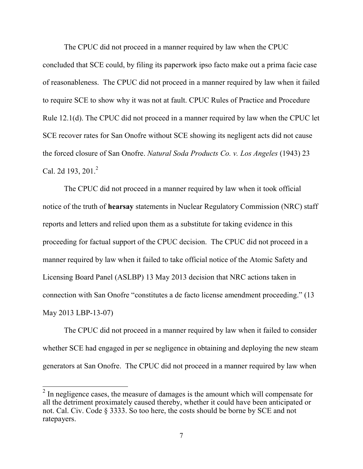The CPUC did not proceed in a manner required by law when the CPUC concluded that SCE could, by filing its paperwork ipso facto make out a prima facie case of reasonableness. The CPUC did not proceed in a manner required by law when it failed to require SCE to show why it was not at fault. CPUC Rules of Practice and Procedure Rule 12.1(d). The CPUC did not proceed in a manner required by law when the CPUC let SCE recover rates for San Onofre without SCE showing its negligent acts did not cause the forced closure of San Onofre. *Natural Soda Products Co. v. Los Angeles* (1943) 23 Cal. 2d 193, 201.<sup>2</sup>

The CPUC did not proceed in a manner required by law when it took official notice of the truth of **hearsay** statements in Nuclear Regulatory Commission (NRC) staff reports and letters and relied upon them as a substitute for taking evidence in this proceeding for factual support of the CPUC decision. The CPUC did not proceed in a manner required by law when it failed to take official notice of the Atomic Safety and Licensing Board Panel (ASLBP) 13 May 2013 decision that NRC actions taken in connection with San Onofre "constitutes a de facto license amendment proceeding." (13 May 2013 LBP-13-07)

The CPUC did not proceed in a manner required by law when it failed to consider whether SCE had engaged in per se negligence in obtaining and deploying the new steam generators at San Onofre. The CPUC did not proceed in a manner required by law when

<sup>&</sup>lt;sup>2</sup> In negligence cases, the measure of damages is the amount which will compensate for all the detriment proximately caused thereby, whether it could have been anticipated or not. Cal. Civ. Code § 3333. So too here, the costs should be borne by SCE and not ratepayers.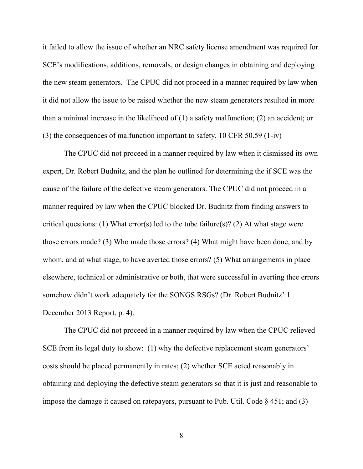it failed to allow the issue of whether an NRC safety license amendment was required for SCE's modifications, additions, removals, or design changes in obtaining and deploying the new steam generators. The CPUC did not proceed in a manner required by law when it did not allow the issue to be raised whether the new steam generators resulted in more than a minimal increase in the likelihood of (1) a safety malfunction; (2) an accident; or (3) the consequences of malfunction important to safety. 10 CFR 50.59 (1-iv)

The CPUC did not proceed in a manner required by law when it dismissed its own expert, Dr. Robert Budnitz, and the plan he outlined for determining the if SCE was the cause of the failure of the defective steam generators. The CPUC did not proceed in a manner required by law when the CPUC blocked Dr. Budnitz from finding answers to critical questions: (1) What error(s) led to the tube failure(s)? (2) At what stage were those errors made? (3) Who made those errors? (4) What might have been done, and by whom, and at what stage, to have averted those errors? (5) What arrangements in place elsewhere, technical or administrative or both, that were successful in averting thee errors somehow didn't work adequately for the SONGS RSGs? (Dr. Robert Budnitz' 1 December 2013 Report, p. 4).

The CPUC did not proceed in a manner required by law when the CPUC relieved SCE from its legal duty to show: (1) why the defective replacement steam generators' costs should be placed permanently in rates; (2) whether SCE acted reasonably in obtaining and deploying the defective steam generators so that it is just and reasonable to impose the damage it caused on ratepayers, pursuant to Pub. Util. Code  $\S$  451; and (3)

8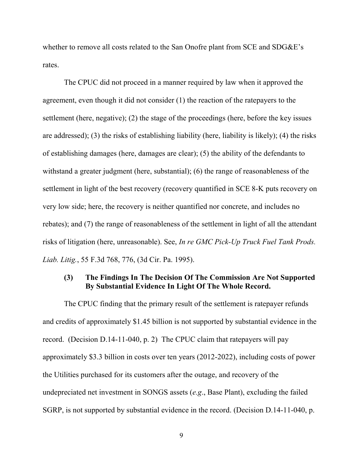whether to remove all costs related to the San Onofre plant from SCE and SDG&E's rates.

The CPUC did not proceed in a manner required by law when it approved the agreement, even though it did not consider (1) the reaction of the ratepayers to the settlement (here, negative); (2) the stage of the proceedings (here, before the key issues are addressed); (3) the risks of establishing liability (here, liability is likely); (4) the risks of establishing damages (here, damages are clear); (5) the ability of the defendants to withstand a greater judgment (here, substantial); (6) the range of reasonableness of the settlement in light of the best recovery (recovery quantified in SCE 8-K puts recovery on very low side; here, the recovery is neither quantified nor concrete, and includes no rebates); and (7) the range of reasonableness of the settlement in light of all the attendant risks of litigation (here, unreasonable). See, *In re GMC Pick-Up Truck Fuel Tank Prods. Liab. Litig.*, 55 F.3d 768, 776, (3d Cir. Pa. 1995).

## **(3) The Findings In The Decision Of The Commission Are Not Supported By Substantial Evidence In Light Of The Whole Record.**

The CPUC finding that the primary result of the settlement is ratepayer refunds and credits of approximately \$1.45 billion is not supported by substantial evidence in the record. (Decision D.14-11-040, p. 2) The CPUC claim that ratepayers will pay approximately \$3.3 billion in costs over ten years (2012-2022), including costs of power the Utilities purchased for its customers after the outage, and recovery of the undepreciated net investment in SONGS assets (*e.g*., Base Plant), excluding the failed SGRP, is not supported by substantial evidence in the record. (Decision D.14-11-040, p.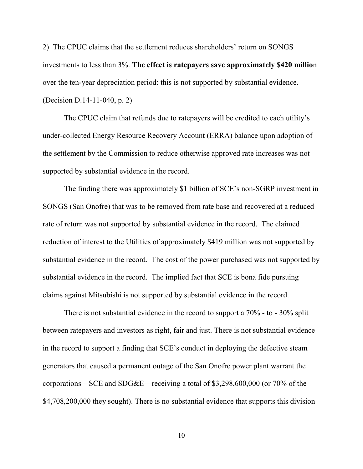2) The CPUC claims that the settlement reduces shareholders' return on SONGS investments to less than 3%. **The effect is ratepayers save approximately \$420 millio**n over the ten-year depreciation period: this is not supported by substantial evidence. (Decision D.14-11-040, p. 2)

The CPUC claim that refunds due to ratepayers will be credited to each utility's under-collected Energy Resource Recovery Account (ERRA) balance upon adoption of the settlement by the Commission to reduce otherwise approved rate increases was not supported by substantial evidence in the record.

The finding there was approximately \$1 billion of SCE's non-SGRP investment in SONGS (San Onofre) that was to be removed from rate base and recovered at a reduced rate of return was not supported by substantial evidence in the record. The claimed reduction of interest to the Utilities of approximately \$419 million was not supported by substantial evidence in the record. The cost of the power purchased was not supported by substantial evidence in the record. The implied fact that SCE is bona fide pursuing claims against Mitsubishi is not supported by substantial evidence in the record.

There is not substantial evidence in the record to support a 70% - to - 30% split between ratepayers and investors as right, fair and just. There is not substantial evidence in the record to support a finding that SCE's conduct in deploying the defective steam generators that caused a permanent outage of the San Onofre power plant warrant the corporations—SCE and SDG&E—receiving a total of \$3,298,600,000 (or 70% of the \$4,708,200,000 they sought). There is no substantial evidence that supports this division

10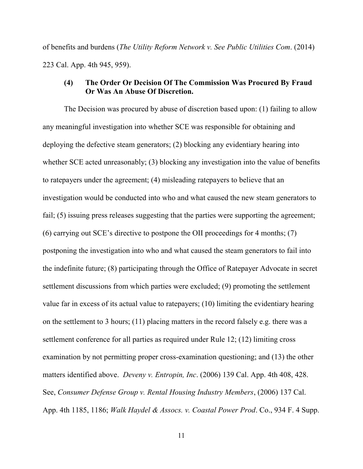of benefits and burdens (*The Utility Reform Network v. See Public Utilities Com*. (2014) 223 Cal. App. 4th 945, 959).

### **(4) The Order Or Decision Of The Commission Was Procured By Fraud Or Was An Abuse Of Discretion.**

The Decision was procured by abuse of discretion based upon: (1) failing to allow any meaningful investigation into whether SCE was responsible for obtaining and deploying the defective steam generators; (2) blocking any evidentiary hearing into whether SCE acted unreasonably; (3) blocking any investigation into the value of benefits to ratepayers under the agreement; (4) misleading ratepayers to believe that an investigation would be conducted into who and what caused the new steam generators to fail; (5) issuing press releases suggesting that the parties were supporting the agreement; (6) carrying out SCE's directive to postpone the OII proceedings for 4 months; (7) postponing the investigation into who and what caused the steam generators to fail into the indefinite future; (8) participating through the Office of Ratepayer Advocate in secret settlement discussions from which parties were excluded; (9) promoting the settlement value far in excess of its actual value to ratepayers; (10) limiting the evidentiary hearing on the settlement to 3 hours; (11) placing matters in the record falsely e.g. there was a settlement conference for all parties as required under Rule 12; (12) limiting cross examination by not permitting proper cross-examination questioning; and (13) the other matters identified above. *Deveny v. Entropin, Inc*. (2006) 139 Cal. App. 4th 408, 428. See, *Consumer Defense Group v. Rental Housing Industry Members*, (2006) 137 Cal. App. 4th 1185, 1186; *Walk Haydel & Assocs. v. Coastal Power Prod*. Co., 934 F. 4 Supp.